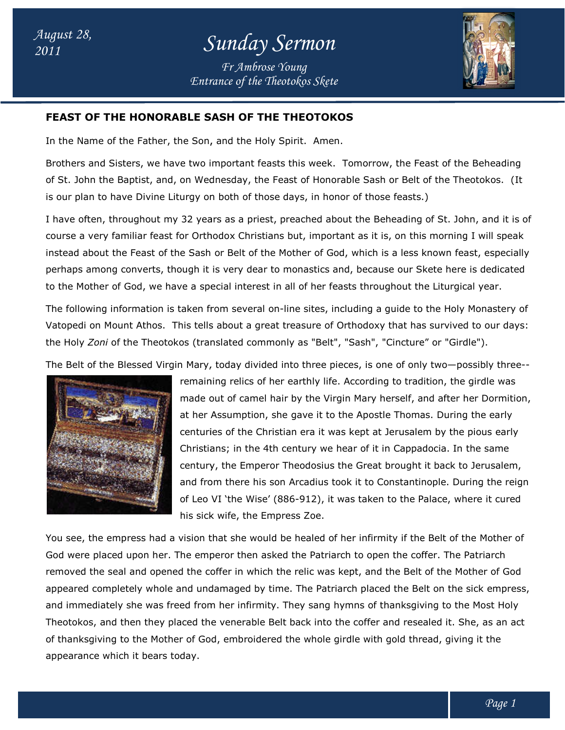*Entrance of the Theotokos Skete Fr Ambrose Young*



## **FEAST OF THE HONORABLE SASH OF THE THE THEOTOKOS**

In the Name of the Father, the Son, and the Holy Spirit. Amen.

Brothers and Sisters, we have two important feasts this week. Tomorrow, the Feast of the Beheading of St. John the Baptist, and, on Wednesday, the Feast of Honorable Sash or Belt of the Theotokos. (It is our plan to have Divine Liturgy on both of those days, in honor of those feasts.) of St. John the Baptist, and, on Wednesday, the Feast of Honorable Sash or Belt of the Theotokos. (It<br>is our plan to have Divine Liturgy on both of those days, in honor of those feasts.)<br>I have often, throughout my 32 yea

course a very familiar feast for Orthodox Christians but, important as it is, on this morning I will speak instead about the Feast of the Sash or Belt of the Mother of God, which is a less known feast, especially perhaps among converts, though it is very dear to monastics and, because our Skete here is to the Mother of God, we have a special interest in all of her feasts throughout the Liturgical year. instead about the Feast of the Sash or Belt of the Mother of God, which is a less known feast, especially<br>perhaps among converts, though it is very dear to monastics and, because our Skete here is dedicated<br>to the Mother o ians but, important as it is, on this morning I will speak<br>he Mother of God, which is a less known feast, especially<br>• to monastics and, because our Skete here is dedicated

Vatopedi on Mount Athos. This tells about a great treasure of Orthodoxy that has survived to our days: the Holy *Zoni* of the Theotokos (translated commonly as "Belt", "Sash", "Cincture" or "Girdle"). The following information is taken from several on-line sites, including a guide to the Holy Monastery of<br>Vatopedi on Mount Athos. This tells about a great treasure of Orthodoxy that has survived to our days:<br>the Holy *Zon* 



remaining relics of her earthly life. According to tradition, the girdle was made out of camel hair by the Virgin Mary herself, and after her Dormition, at her Assumption, she gave it to the Apostle Thomas. During the early remaining relics of her earthly life. According to tradition, the girdle was<br>made out of camel hair by the Virgin Mary herself, and after her Dormitio<br>at her Assumption, she gave it to the Apostle Thomas. During the early<br> Christians; in the 4th century we hear of it in Cappadocia. In the same century, the Emperor Theodosius the Great brought it back to Jerusalem, century, the Emperor Theodosius the Great brought it back to Jerusalem,<br>and from there his son Arcadius took it to Constantinople. During the reign of Leo VI 'the Wise' (886-912), it was taken to the Palace, where it cured his sick wife, the Empress Zoe.

his sick wife, the Empress Zoe.<br>You see, the empress had a vision that she would be healed of her infirmity if the Belt of the Mother of God were placed upon her. The emperor then asked the Patriarch to open the coffer. The Patriarch removed the seal and opened the coffer in which the relic was kept, and the Belt of the Mother of God God were placed upon her. The emperor then asked the Patriarch to open the coffer. The Patriarch<br>removed the seal and opened the coffer in which the relic was kept, and the Belt of the Mother of God<br>appeared completely who and immediately she was freed from her infirmity. They sang hymns of thanksgiving to the Most Holy and immediately she was freed from her infirmity. They sang hymns of thanksgiving to the Most Holy<br>Theotokos, and then they placed the venerable Belt back into the coffer and resealed it. She, as an act of thanksgiving to the Mother of God, embroidered the whole girdle with gold thread, giving it the appearance which it bears today. cadius took it to Constantinople.<br>912), it was taken to the Palace,<br>; Zoe.<br>lealed of her infirmity if the Belt c<br>ne Patriarch to open the coffer. Th<br>elic was kept, and the Belt of the<br>The Patriarch placed the Belt on t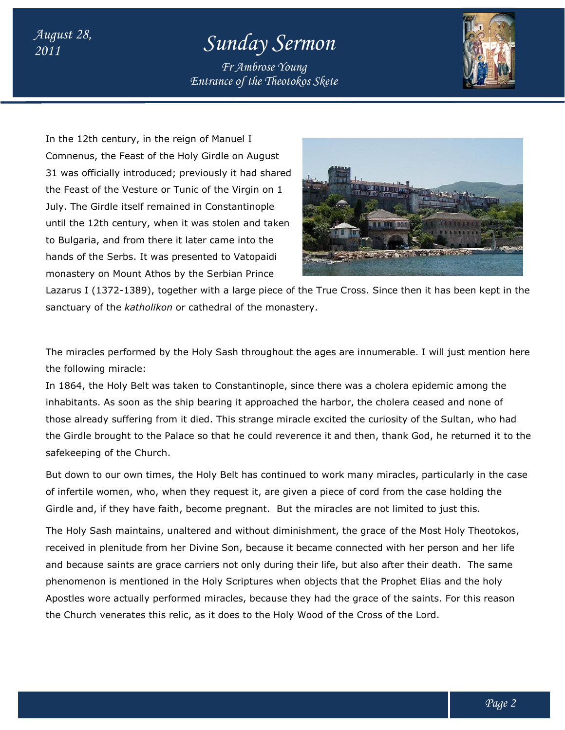## *<sup>2011</sup> Sunday Sermon*

*Entrance of the Theotokos Skete Fr Ambrose Young*



In the 12th century, in the reign of Manuel I Comnenus, the Feast of the Holy Girdle on August Comnenus, the Feast of the Holy Girdle on August<br>31 was officially introduced; previously it had shared the Feast of the Vesture or Tunic of the Virgin on 1 July. The Girdle itself remained in Constantinople the Feast of the Vesture or Tunic of the Virgin on 1<br>July. The Girdle itself remained in Constantinople<br>until the 12th century, when it was stolen and taken to Bulgaria, and from there it later came into the to Bulgaria, and from there it later came into the<br>hands of the Serbs. It was presented to Vatopaidi monastery on Mount Athos by the Serbian Prince

*August 28,* 



Lazarus I (1372-1389), together with a large piece of the True Cross. Since then it has been kept in the sanctuary of the *katholikon* or cathedral of the monastery. monastery on Mount Athos by the Serbian Prince<br>Lazarus I (1372-1389), together with a large piece of the True Cross. Since then it has been kept in<br>sanctuary of the *katholikon* or cathedral of the monastery.

The miracles performed by the Holy Sash throughout the ages are innumerable. I will just mention here the following miracle:

In 1864, the Holy Belt was taken to Constantinople, since there was a cholera epidemic among the In 1864, the Holy Belt was taken to Constantinople, since there was a cholera epidemic among the<br>inhabitants. As soon as the ship bearing it approached the harbor, the cholera ceased and none of those already suffering from it died. This strange miracle excited the curiosity of the Sultan, who had died. This strange excited the Sultan, who had the Girdle brought to the Palace so that he could reverence it and then, thank God, he returned it to the safekeeping of the Church. are innumerable. I will just mention he<br>anstantinople, since there was a cholera epidemic among the<br>g it approached the harbor, the cholera ceased and none of<br>his strange miracle excited the curiosity of the Sultan, who ha

But down to our own times, the Holy Belt has continued to work many miracles, particularly in the case the Girdle brought to the Palace so that he could reverence it and then, thank God, he returned it to the<br>safekeeping of the Church.<br>But down to our own times, the Holy Belt has continued to work many miracles, particularl Girdle and, if they have faith, become pregnant. But the miracles are not limited to just this.

The Holy Sash maintains, unaltered and without diminishment, the grace of the Most Holy Theotokos, received in plenitude from her Divine Son, because it became connected with her person and her li and because saints are grace carriers not only during their life, but also after their death. death. The same phenomenon is mentioned in the Holy Scriptures when objects that the Prophet Elias and the holy and because saints are grace carriers not only during their life, but also after their death. The same<br>phenomenon is mentioned in the Holy Scriptures when objects that the Prophet Elias and the holy<br>Apostles wore actually the Church venerates this relic, as it does to the Holy Wood of the Cross of the Lord.